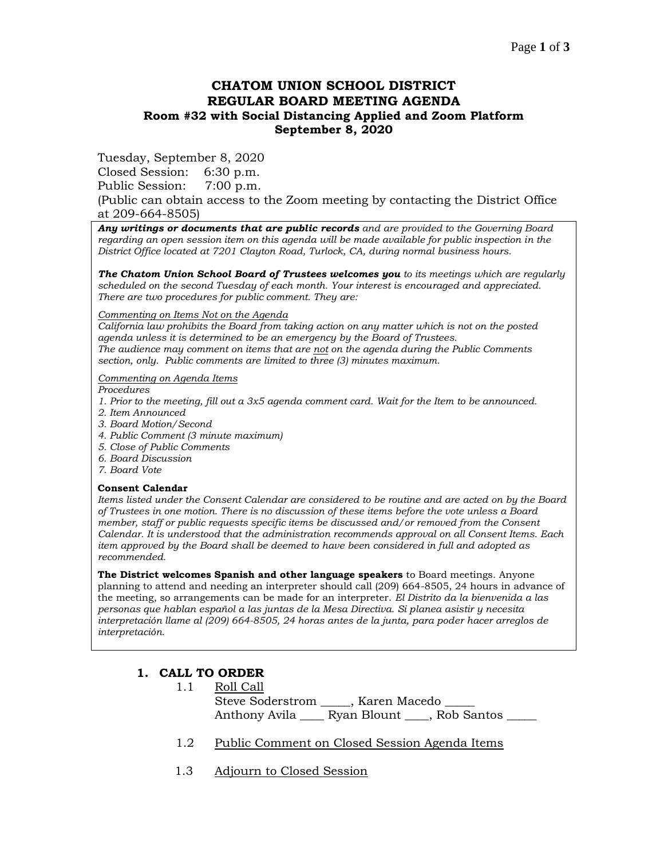## **CHATOM UNION SCHOOL DISTRICT REGULAR BOARD MEETING AGENDA Room #32 with Social Distancing Applied and Zoom Platform September 8, 2020**

Tuesday, September 8, 2020

Closed Session: 6:30 p.m.

Public Session: 7:00 p.m.

(Public can obtain access to the Zoom meeting by contacting the District Office at 209-664-8505)

*Any writings or documents that are public records and are provided to the Governing Board regarding an open session item on this agenda will be made available for public inspection in the District Office located at 7201 Clayton Road, Turlock, CA, during normal business hours.*

*The Chatom Union School Board of Trustees welcomes you to its meetings which are regularly scheduled on the second Tuesday of each month. Your interest is encouraged and appreciated. There are two procedures for public comment. They are:*

#### *Commenting on Items Not on the Agenda*

*California law prohibits the Board from taking action on any matter which is not on the posted agenda unless it is determined to be an emergency by the Board of Trustees. The audience may comment on items that are not on the agenda during the Public Comments section, only. Public comments are limited to three (3) minutes maximum.*

#### *Commenting on Agenda Items*

*Procedures* 

- *1. Prior to the meeting, fill out a 3x5 agenda comment card. Wait for the Item to be announced.*
- *2. Item Announced*
- *3. Board Motion/Second*
- *4. Public Comment (3 minute maximum)*
- *5. Close of Public Comments*
- *6. Board Discussion*
- *7. Board Vote*

#### **Consent Calendar**

*Items listed under the Consent Calendar are considered to be routine and are acted on by the Board of Trustees in one motion. There is no discussion of these items before the vote unless a Board member, staff or public requests specific items be discussed and/or removed from the Consent Calendar. It is understood that the administration recommends approval on all Consent Items. Each item approved by the Board shall be deemed to have been considered in full and adopted as recommended.*

**The District welcomes Spanish and other language speakers** to Board meetings. Anyone planning to attend and needing an interpreter should call (209) 664-8505, 24 hours in advance of the meeting, so arrangements can be made for an interpreter. *El Distrito da la bienvenida a las personas que hablan español a las juntas de la Mesa Directiva. Si planea asistir y necesita interpretación llame al (209) 664-8505, 24 horas antes de la junta, para poder hacer arreglos de interpretación.*

### **1. CALL TO ORDER**

- 1.1 Roll Call Steve Soderstrom \_\_\_\_\_, Karen Macedo \_ Anthony Avila \_\_\_\_ Ryan Blount \_\_\_\_, Rob Santos
- 1.2 Public Comment on Closed Session Agenda Items
- 1.3 Adjourn to Closed Session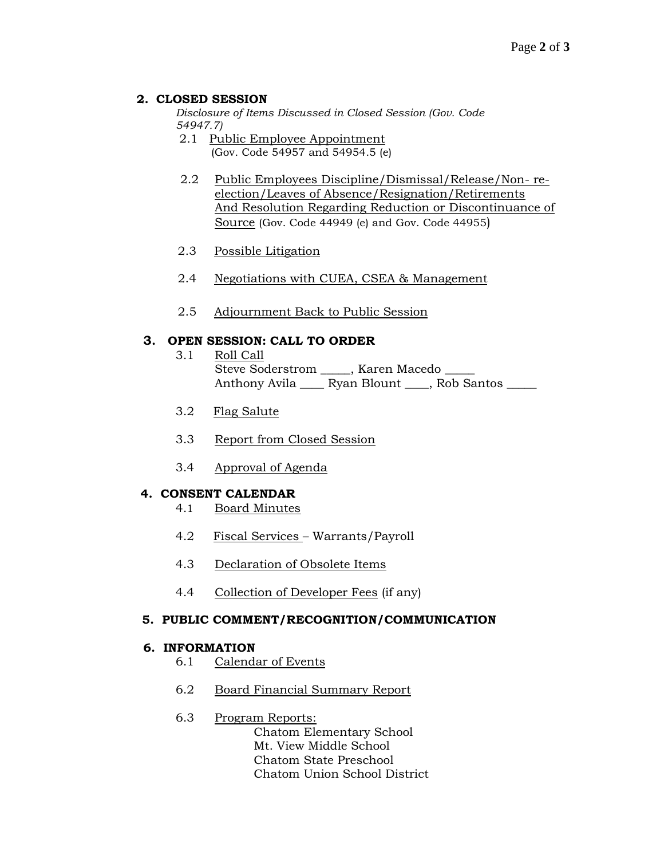### **2. CLOSED SESSION**

*Disclosure of Items Discussed in Closed Session (Gov. Code 54947.7)*

- 2.1 Public Employee Appointment (Gov. Code 54957 and 54954.5 (e)
- 2.2 Public Employees Discipline/Dismissal/Release/Non- reelection/Leaves of Absence/Resignation/Retirements And Resolution Regarding Reduction or Discontinuance of Source (Gov. Code 44949 (e) and Gov. Code 44955)
- 2.3 Possible Litigation
- 2.4 Negotiations with CUEA, CSEA & Management
- 2.5 Adjournment Back to Public Session

## **3. OPEN SESSION: CALL TO ORDER**

- 3.1 Roll Call Steve Soderstrom \_\_\_\_\_, Karen Macedo \_\_\_\_\_ Anthony Avila \_\_\_\_\_ Ryan Blount \_\_\_\_, Rob Santos \_\_\_\_\_
- 3.2 Flag Salute
- 3.3 Report from Closed Session
- 3.4 Approval of Agenda

### **4. CONSENT CALENDAR**

- 4.1 Board Minutes
- 4.2 Fiscal Services Warrants/Payroll
- 4.3 Declaration of Obsolete Items
- 4.4 Collection of Developer Fees (if any)

### **5. PUBLIC COMMENT/RECOGNITION/COMMUNICATION**

### **6. INFORMATION**

- 6.1 Calendar of Events
- 6.2 Board Financial Summary Report

### 6.3 Program Reports:

Chatom Elementary School Mt. View Middle School Chatom State Preschool Chatom Union School District